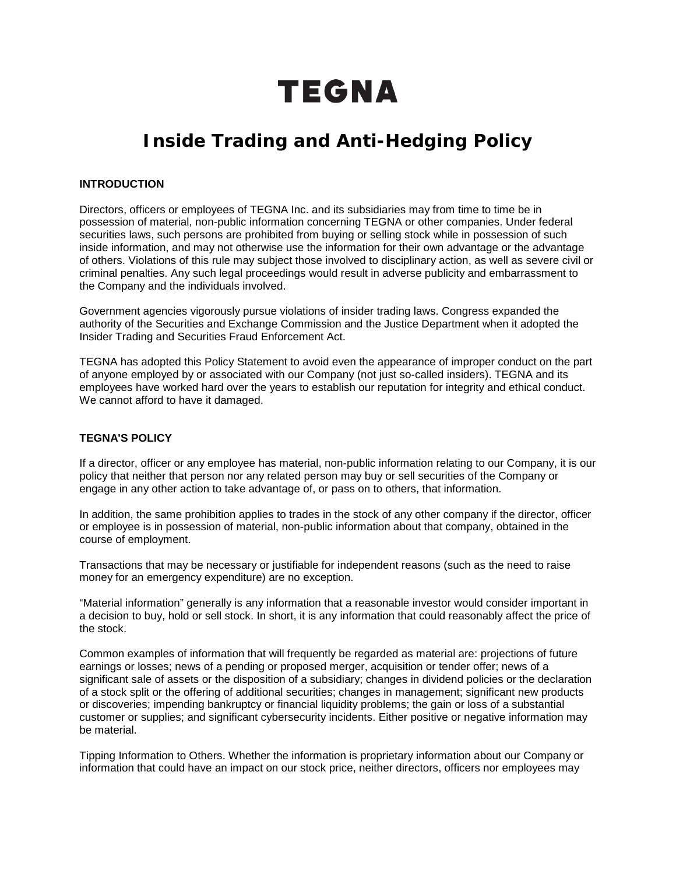# **TEGNA**

# **Inside Trading and Anti-Hedging Policy**

### **INTRODUCTION**

Directors, officers or employees of TEGNA Inc. and its subsidiaries may from time to time be in possession of material, non-public information concerning TEGNA or other companies. Under federal securities laws, such persons are prohibited from buying or selling stock while in possession of such inside information, and may not otherwise use the information for their own advantage or the advantage of others. Violations of this rule may subject those involved to disciplinary action, as well as severe civil or criminal penalties. Any such legal proceedings would result in adverse publicity and embarrassment to the Company and the individuals involved.

Government agencies vigorously pursue violations of insider trading laws. Congress expanded the authority of the Securities and Exchange Commission and the Justice Department when it adopted the Insider Trading and Securities Fraud Enforcement Act.

TEGNA has adopted this Policy Statement to avoid even the appearance of improper conduct on the part of anyone employed by or associated with our Company (not just so-called insiders). TEGNA and its employees have worked hard over the years to establish our reputation for integrity and ethical conduct. We cannot afford to have it damaged.

# **TEGNA'S POLICY**

If a director, officer or any employee has material, non-public information relating to our Company, it is our policy that neither that person nor any related person may buy or sell securities of the Company or engage in any other action to take advantage of, or pass on to others, that information.

In addition, the same prohibition applies to trades in the stock of any other company if the director, officer or employee is in possession of material, non-public information about that company, obtained in the course of employment.

Transactions that may be necessary or justifiable for independent reasons (such as the need to raise money for an emergency expenditure) are no exception.

"Material information" generally is any information that a reasonable investor would consider important in a decision to buy, hold or sell stock. In short, it is any information that could reasonably affect the price of the stock.

Common examples of information that will frequently be regarded as material are: projections of future earnings or losses; news of a pending or proposed merger, acquisition or tender offer; news of a significant sale of assets or the disposition of a subsidiary; changes in dividend policies or the declaration of a stock split or the offering of additional securities; changes in management; significant new products or discoveries; impending bankruptcy or financial liquidity problems; the gain or loss of a substantial customer or supplies; and significant cybersecurity incidents. Either positive or negative information may be material.

Tipping Information to Others. Whether the information is proprietary information about our Company or information that could have an impact on our stock price, neither directors, officers nor employees may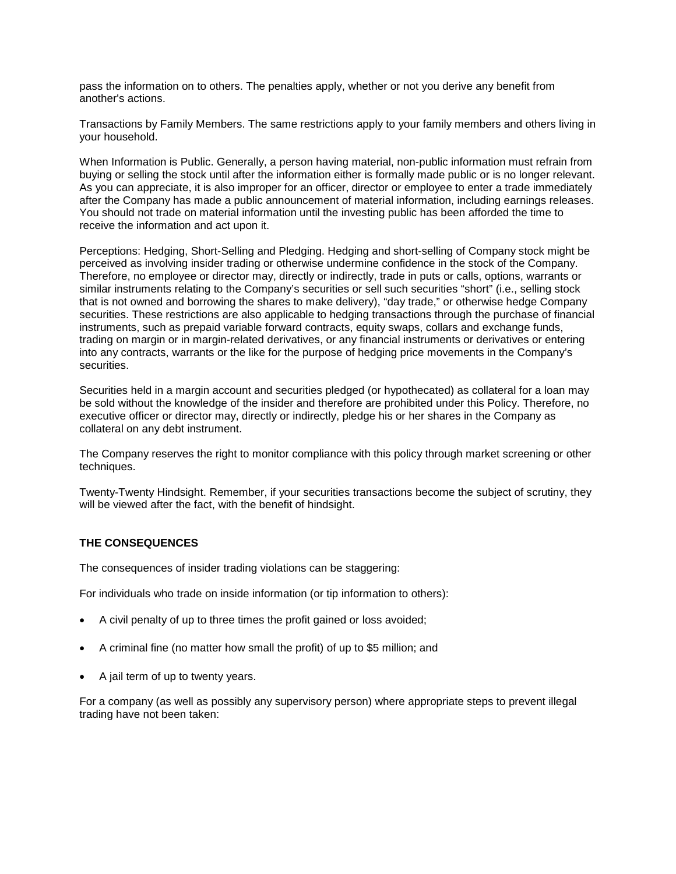pass the information on to others. The penalties apply, whether or not you derive any benefit from another's actions.

Transactions by Family Members. The same restrictions apply to your family members and others living in your household.

When Information is Public. Generally, a person having material, non-public information must refrain from buying or selling the stock until after the information either is formally made public or is no longer relevant. As you can appreciate, it is also improper for an officer, director or employee to enter a trade immediately after the Company has made a public announcement of material information, including earnings releases. You should not trade on material information until the investing public has been afforded the time to receive the information and act upon it.

Perceptions: Hedging, Short-Selling and Pledging. Hedging and short-selling of Company stock might be perceived as involving insider trading or otherwise undermine confidence in the stock of the Company. Therefore, no employee or director may, directly or indirectly, trade in puts or calls, options, warrants or similar instruments relating to the Company's securities or sell such securities "short" (i.e., selling stock that is not owned and borrowing the shares to make delivery), "day trade," or otherwise hedge Company securities. These restrictions are also applicable to hedging transactions through the purchase of financial instruments, such as prepaid variable forward contracts, equity swaps, collars and exchange funds, trading on margin or in margin-related derivatives, or any financial instruments or derivatives or entering into any contracts, warrants or the like for the purpose of hedging price movements in the Company's securities.

Securities held in a margin account and securities pledged (or hypothecated) as collateral for a loan may be sold without the knowledge of the insider and therefore are prohibited under this Policy. Therefore, no executive officer or director may, directly or indirectly, pledge his or her shares in the Company as collateral on any debt instrument.

The Company reserves the right to monitor compliance with this policy through market screening or other techniques.

Twenty-Twenty Hindsight. Remember, if your securities transactions become the subject of scrutiny, they will be viewed after the fact, with the benefit of hindsight.

#### **THE CONSEQUENCES**

The consequences of insider trading violations can be staggering:

For individuals who trade on inside information (or tip information to others):

- A civil penalty of up to three times the profit gained or loss avoided;
- A criminal fine (no matter how small the profit) of up to \$5 million; and
- A jail term of up to twenty years.

For a company (as well as possibly any supervisory person) where appropriate steps to prevent illegal trading have not been taken: